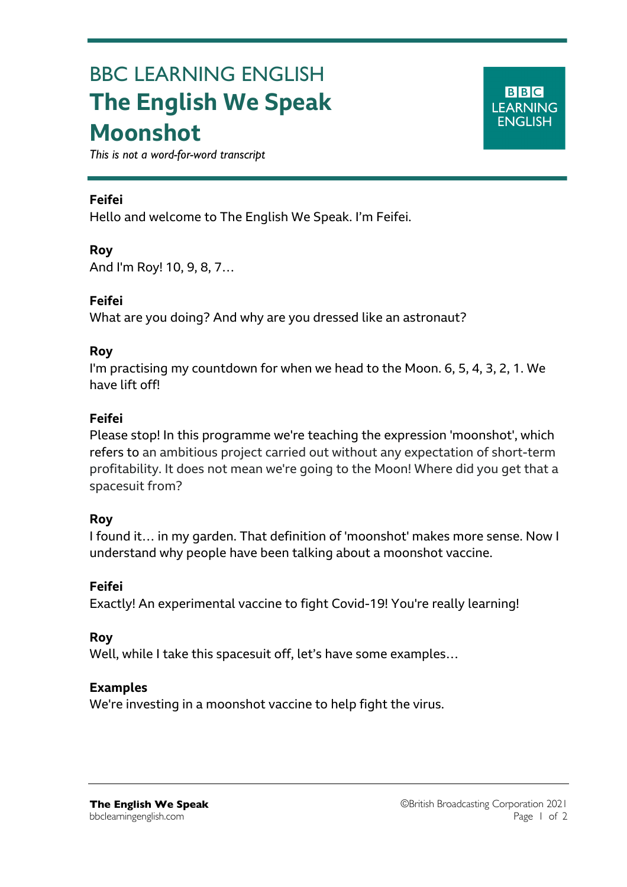# BBC LEARNING ENGLISH **The English We Speak Moonshot**

**BBC LEARNING ENGLISH** 

*This is not a word-for-word transcript*

#### **Feifei**

Hello and welcome to The English We Speak. I'm Feifei.

#### **Roy**

And I'm Roy! 10, 9, 8, 7…

#### **Feifei**

What are you doing? And why are you dressed like an astronaut?

#### **Roy**

I'm practising my countdown for when we head to the Moon. 6, 5, 4, 3, 2, 1. We have lift off!

#### **Feifei**

Please stop! In this programme we're teaching the expression 'moonshot', which refers to an ambitious project carried out without any expectation of short-term profitability. It does not mean we're going to the Moon! Where did you get that a spacesuit from?

#### **Roy**

I found it… in my garden. That definition of 'moonshot' makes more sense. Now I understand why people have been talking about a moonshot vaccine.

### **Feifei**

Exactly! An experimental vaccine to fight Covid-19! You're really learning!

#### **Roy**

Well, while I take this spacesuit off, let's have some examples…

#### **Examples**

We're investing in a moonshot vaccine to help fight the virus.